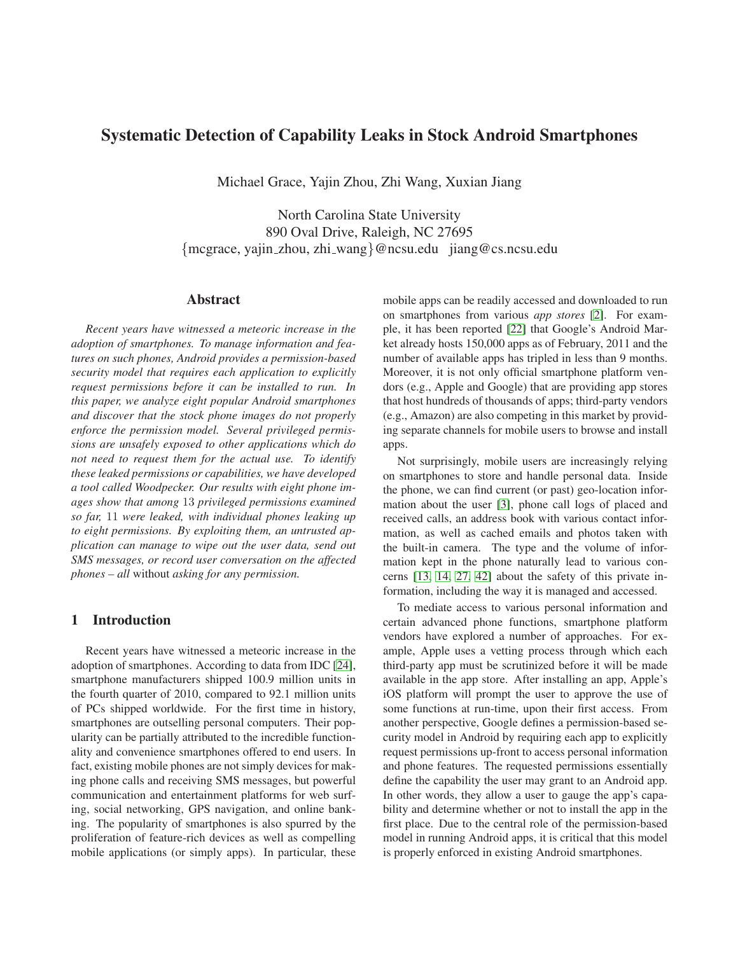# **Systematic Detection of Capability Leaks in Stock Android Smartphones**

Michael Grace, Yajin Zhou, Zhi Wang, Xuxian Jiang

North Carolina State University 890 Oval Drive, Raleigh, NC 27695 {mcgrace, yajin zhou, zhi wang}@ncsu.edu jiang@cs.ncsu.edu

# **Abstract**

*Recent years have witnessed a meteoric increase in the adoption of smartphones. To manage information and features on such phones, Android provides a permission-based security model that requires each application to explicitly request permissions before it can be installed to run. In this paper, we analyze eight popular Android smartphones and discover that the stock phone images do not properly enforce the permission model. Several privileged permissions are unsafely exposed to other applications which do not need to request them for the actual use. To identify these leaked permissions or capabilities, we have developed a tool called Woodpecker. Our results with eight phone images show that among* 13 *privileged permissions examined so far,* 11 *were leaked, with individual phones leaking up to eight permissions. By exploiting them, an untrusted application can manage to wipe out the user data, send out SMS messages, or record user conversation on the affected phones – all* without *asking for any permission.*

# **1 Introduction**

Recent years have witnessed a meteoric increase in the adoption of smartphones. According to data from IDC [\[24\]](#page-14-0), smartphone manufacturers shipped 100.9 million units in the fourth quarter of 2010, compared to 92.1 million units of PCs shipped worldwide. For the first time in history, smartphones are outselling personal computers. Their popularity can be partially attributed to the incredible functionality and convenience smartphones offered to end users. In fact, existing mobile phones are not simply devices for making phone calls and receiving SMS messages, but powerful communication and entertainment platforms for web surfing, social networking, GPS navigation, and online banking. The popularity of smartphones is also spurred by the proliferation of feature-rich devices as well as compelling mobile applications (or simply apps). In particular, these mobile apps can be readily accessed and downloaded to run on smartphones from various *app stores* [\[2\]](#page-13-0). For example, it has been reported [\[22\]](#page-14-1) that Google's Android Market already hosts 150,000 apps as of February, 2011 and the number of available apps has tripled in less than 9 months. Moreover, it is not only official smartphone platform vendors (e.g., Apple and Google) that are providing app stores that host hundreds of thousands of apps; third-party vendors (e.g., Amazon) are also competing in this market by providing separate channels for mobile users to browse and install apps.

Not surprisingly, mobile users are increasingly relying on smartphones to store and handle personal data. Inside the phone, we can find current (or past) geo-location information about the user [\[3\]](#page-13-1), phone call logs of placed and received calls, an address book with various contact information, as well as cached emails and photos taken with the built-in camera. The type and the volume of information kept in the phone naturally lead to various concerns [\[13,](#page-13-2) [14,](#page-13-3) [27,](#page-14-2) [42\]](#page-14-3) about the safety of this private information, including the way it is managed and accessed.

To mediate access to various personal information and certain advanced phone functions, smartphone platform vendors have explored a number of approaches. For example, Apple uses a vetting process through which each third-party app must be scrutinized before it will be made available in the app store. After installing an app, Apple's iOS platform will prompt the user to approve the use of some functions at run-time, upon their first access. From another perspective, Google defines a permission-based security model in Android by requiring each app to explicitly request permissions up-front to access personal information and phone features. The requested permissions essentially define the capability the user may grant to an Android app. In other words, they allow a user to gauge the app's capability and determine whether or not to install the app in the first place. Due to the central role of the permission-based model in running Android apps, it is critical that this model is properly enforced in existing Android smartphones.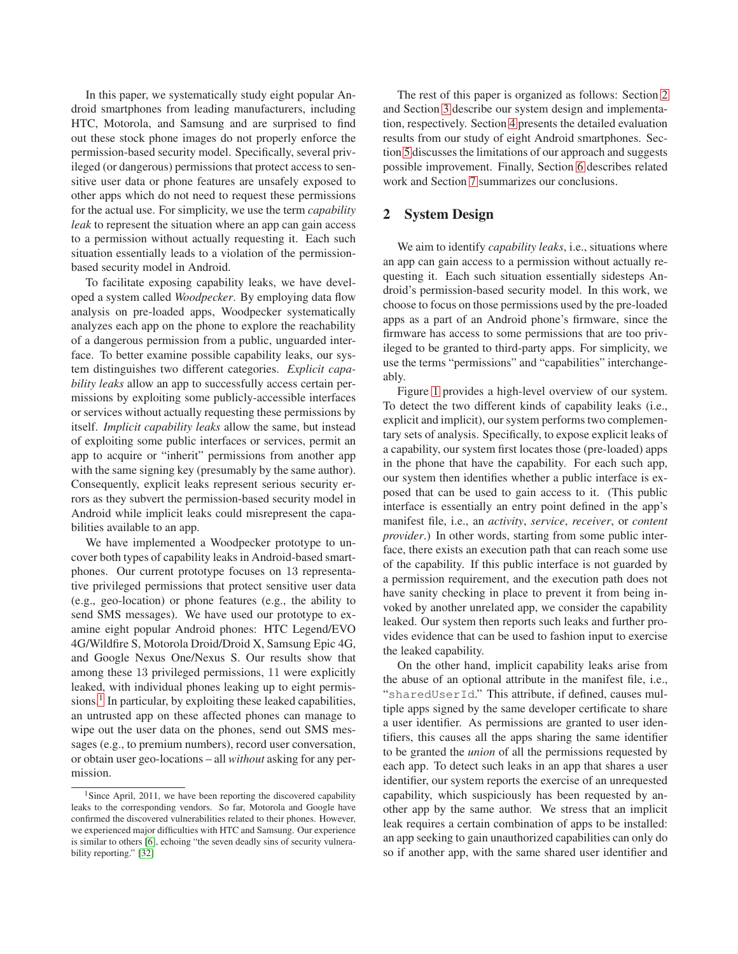In this paper, we systematically study eight popular Android smartphones from leading manufacturers, including HTC, Motorola, and Samsung and are surprised to find out these stock phone images do not properly enforce the permission-based security model. Specifically, several privileged (or dangerous) permissions that protect access to sensitive user data or phone features are unsafely exposed to other apps which do not need to request these permissions for the actual use. For simplicity, we use the term *capability leak* to represent the situation where an app can gain access to a permission without actually requesting it. Each such situation essentially leads to a violation of the permissionbased security model in Android.

To facilitate exposing capability leaks, we have developed a system called *Woodpecker*. By employing data flow analysis on pre-loaded apps, Woodpecker systematically analyzes each app on the phone to explore the reachability of a dangerous permission from a public, unguarded interface. To better examine possible capability leaks, our system distinguishes two different categories. *Explicit capability leaks* allow an app to successfully access certain permissions by exploiting some publicly-accessible interfaces or services without actually requesting these permissions by itself. *Implicit capability leaks* allow the same, but instead of exploiting some public interfaces or services, permit an app to acquire or "inherit" permissions from another app with the same signing key (presumably by the same author). Consequently, explicit leaks represent serious security errors as they subvert the permission-based security model in Android while implicit leaks could misrepresent the capabilities available to an app.

We have implemented a Woodpecker prototype to uncover both types of capability leaks in Android-based smartphones. Our current prototype focuses on 13 representative privileged permissions that protect sensitive user data (e.g., geo-location) or phone features (e.g., the ability to send SMS messages). We have used our prototype to examine eight popular Android phones: HTC Legend/EVO 4G/Wildfire S, Motorola Droid/Droid X, Samsung Epic 4G, and Google Nexus One/Nexus S. Our results show that among these 13 privileged permissions, 11 were explicitly leaked, with individual phones leaking up to eight permis-sions.<sup>[1](#page-1-0)</sup> In particular, by exploiting these leaked capabilities, an untrusted app on these affected phones can manage to wipe out the user data on the phones, send out SMS messages (e.g., to premium numbers), record user conversation, or obtain user geo-locations – all *without* asking for any permission.

The rest of this paper is organized as follows: Section [2](#page-1-1) and Section [3](#page-5-0) describe our system design and implementation, respectively. Section [4](#page-7-0) presents the detailed evaluation results from our study of eight Android smartphones. Section [5](#page-11-0) discusses the limitations of our approach and suggests possible improvement. Finally, Section [6](#page-12-0) describes related work and Section [7](#page-13-5) summarizes our conclusions.

# <span id="page-1-1"></span>**2 System Design**

We aim to identify *capability leaks*, i.e., situations where an app can gain access to a permission without actually requesting it. Each such situation essentially sidesteps Android's permission-based security model. In this work, we choose to focus on those permissions used by the pre-loaded apps as a part of an Android phone's firmware, since the firmware has access to some permissions that are too privileged to be granted to third-party apps. For simplicity, we use the terms "permissions" and "capabilities" interchangeably.

Figure [1](#page-2-0) provides a high-level overview of our system. To detect the two different kinds of capability leaks (i.e., explicit and implicit), our system performs two complementary sets of analysis. Specifically, to expose explicit leaks of a capability, our system first locates those (pre-loaded) apps in the phone that have the capability. For each such app, our system then identifies whether a public interface is exposed that can be used to gain access to it. (This public interface is essentially an entry point defined in the app's manifest file, i.e., an *activity*, *service*, *receiver*, or *content provider*.) In other words, starting from some public interface, there exists an execution path that can reach some use of the capability. If this public interface is not guarded by a permission requirement, and the execution path does not have sanity checking in place to prevent it from being invoked by another unrelated app, we consider the capability leaked. Our system then reports such leaks and further provides evidence that can be used to fashion input to exercise the leaked capability.

On the other hand, implicit capability leaks arise from the abuse of an optional attribute in the manifest file, i.e., "sharedUserId." This attribute, if defined, causes multiple apps signed by the same developer certificate to share a user identifier. As permissions are granted to user identifiers, this causes all the apps sharing the same identifier to be granted the *union* of all the permissions requested by each app. To detect such leaks in an app that shares a user identifier, our system reports the exercise of an unrequested capability, which suspiciously has been requested by another app by the same author. We stress that an implicit leak requires a certain combination of apps to be installed: an app seeking to gain unauthorized capabilities can only do so if another app, with the same shared user identifier and

<span id="page-1-0"></span> $1$ Since April, 2011, we have been reporting the discovered capability leaks to the corresponding vendors. So far, Motorola and Google have confirmed the discovered vulnerabilities related to their phones. However, we experienced major difficulties with HTC and Samsung. Our experience is similar to others [\[6\]](#page-13-4), echoing "the seven deadly sins of security vulnerability reporting." [\[32\]](#page-14-4)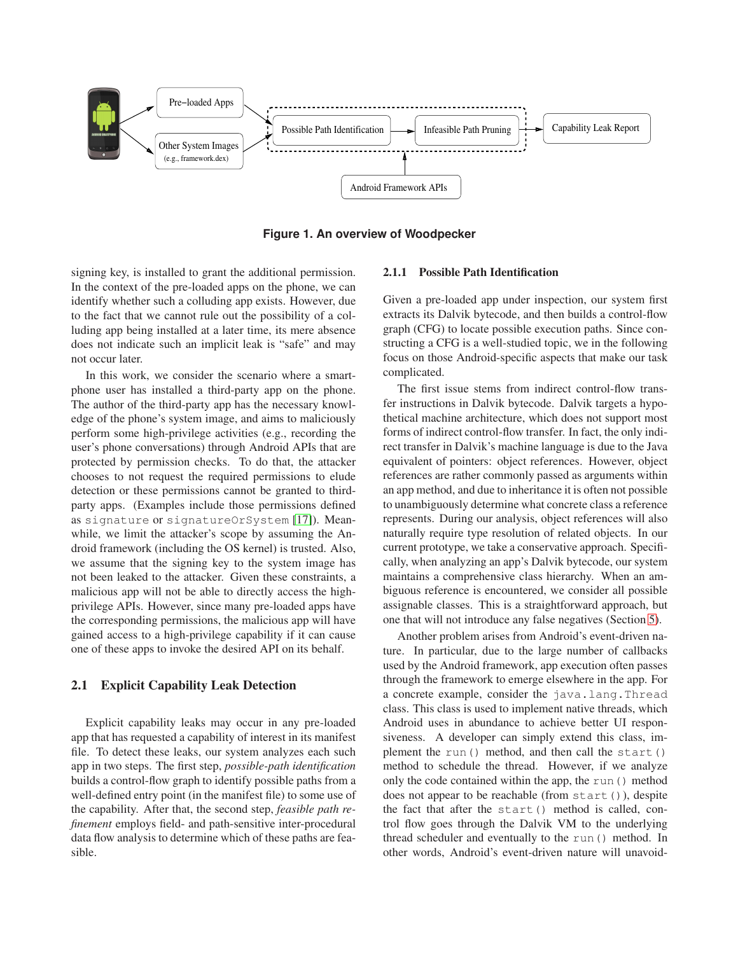

<span id="page-2-1"></span><span id="page-2-0"></span>**Figure 1. An overview of Woodpecker**

signing key, is installed to grant the additional permission. In the context of the pre-loaded apps on the phone, we can identify whether such a colluding app exists. However, due to the fact that we cannot rule out the possibility of a colluding app being installed at a later time, its mere absence does not indicate such an implicit leak is "safe" and may not occur later.

In this work, we consider the scenario where a smartphone user has installed a third-party app on the phone. The author of the third-party app has the necessary knowledge of the phone's system image, and aims to maliciously perform some high-privilege activities (e.g., recording the user's phone conversations) through Android APIs that are protected by permission checks. To do that, the attacker chooses to not request the required permissions to elude detection or these permissions cannot be granted to thirdparty apps. (Examples include those permissions defined as signature or signatureOrSystem [\[17\]](#page-14-5)). Meanwhile, we limit the attacker's scope by assuming the Android framework (including the OS kernel) is trusted. Also, we assume that the signing key to the system image has not been leaked to the attacker. Given these constraints, a malicious app will not be able to directly access the highprivilege APIs. However, since many pre-loaded apps have the corresponding permissions, the malicious app will have gained access to a high-privilege capability if it can cause one of these apps to invoke the desired API on its behalf.

# **2.1 Explicit Capability Leak Detection**

Explicit capability leaks may occur in any pre-loaded app that has requested a capability of interest in its manifest file. To detect these leaks, our system analyzes each such app in two steps. The first step, *possible-path identification* builds a control-flow graph to identify possible paths from a well-defined entry point (in the manifest file) to some use of the capability. After that, the second step, *feasible path refinement* employs field- and path-sensitive inter-procedural data flow analysis to determine which of these paths are feasible.

#### **2.1.1 Possible Path Identification**

Given a pre-loaded app under inspection, our system first extracts its Dalvik bytecode, and then builds a control-flow graph (CFG) to locate possible execution paths. Since constructing a CFG is a well-studied topic, we in the following focus on those Android-specific aspects that make our task complicated.

The first issue stems from indirect control-flow transfer instructions in Dalvik bytecode. Dalvik targets a hypothetical machine architecture, which does not support most forms of indirect control-flow transfer. In fact, the only indirect transfer in Dalvik's machine language is due to the Java equivalent of pointers: object references. However, object references are rather commonly passed as arguments within an app method, and due to inheritance it is often not possible to unambiguously determine what concrete class a reference represents. During our analysis, object references will also naturally require type resolution of related objects. In our current prototype, we take a conservative approach. Specifically, when analyzing an app's Dalvik bytecode, our system maintains a comprehensive class hierarchy. When an ambiguous reference is encountered, we consider all possible assignable classes. This is a straightforward approach, but one that will not introduce any false negatives (Section [5\)](#page-11-0).

Another problem arises from Android's event-driven nature. In particular, due to the large number of callbacks used by the Android framework, app execution often passes through the framework to emerge elsewhere in the app. For a concrete example, consider the java.lang.Thread class. This class is used to implement native threads, which Android uses in abundance to achieve better UI responsiveness. A developer can simply extend this class, implement the run() method, and then call the start() method to schedule the thread. However, if we analyze only the code contained within the app, the run() method does not appear to be reachable (from start()), despite the fact that after the start() method is called, control flow goes through the Dalvik VM to the underlying thread scheduler and eventually to the run() method. In other words, Android's event-driven nature will unavoid-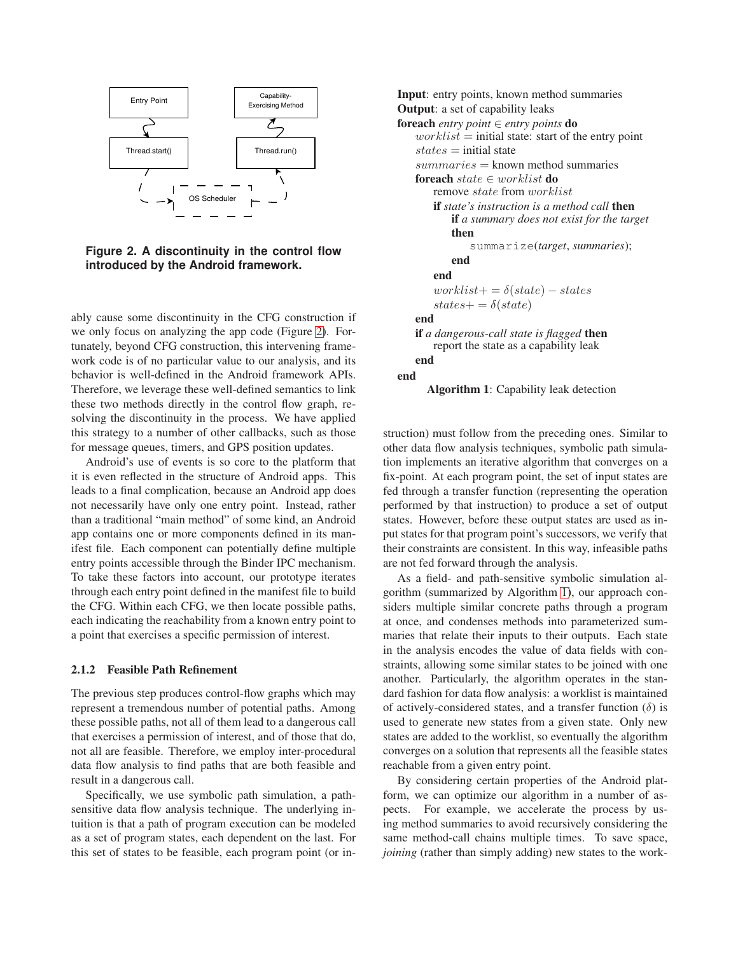

<span id="page-3-0"></span>**Figure 2. A discontinuity in the control flow introduced by the Android framework.**

ably cause some discontinuity in the CFG construction if we only focus on analyzing the app code (Figure [2\)](#page-3-0). Fortunately, beyond CFG construction, this intervening framework code is of no particular value to our analysis, and its behavior is well-defined in the Android framework APIs. Therefore, we leverage these well-defined semantics to link these two methods directly in the control flow graph, resolving the discontinuity in the process. We have applied this strategy to a number of other callbacks, such as those for message queues, timers, and GPS position updates.

Android's use of events is so core to the platform that it is even reflected in the structure of Android apps. This leads to a final complication, because an Android app does not necessarily have only one entry point. Instead, rather than a traditional "main method" of some kind, an Android app contains one or more components defined in its manifest file. Each component can potentially define multiple entry points accessible through the Binder IPC mechanism. To take these factors into account, our prototype iterates through each entry point defined in the manifest file to build the CFG. Within each CFG, we then locate possible paths, each indicating the reachability from a known entry point to a point that exercises a specific permission of interest.

#### <span id="page-3-2"></span>**2.1.2 Feasible Path Refinement**

The previous step produces control-flow graphs which may represent a tremendous number of potential paths. Among these possible paths, not all of them lead to a dangerous call that exercises a permission of interest, and of those that do, not all are feasible. Therefore, we employ inter-procedural data flow analysis to find paths that are both feasible and result in a dangerous call.

Specifically, we use symbolic path simulation, a pathsensitive data flow analysis technique. The underlying intuition is that a path of program execution can be modeled as a set of program states, each dependent on the last. For this set of states to be feasible, each program point (or in-

**Input**: entry points, known method summaries **Output**: a set of capability leaks **foreach** *entry point*  $\in$  *entry points* **do**  $worklist = initial state: start of the entry point$  $states = initial state$  $summaries =$  known method summaries **foreach** state ∈ worklist **do** remove state from worklist **if** *state's instruction is a method call* **then if** *a summary does not exist for the target* **then** summarize(*target*, *summaries*); **end end**  $worklist += \delta(state) - states$  $states+=\delta(state)$ **end if** *a dangerous-call state is flagged* **then** report the state as a capability leak **end end Algorithm 1**: Capability leak detection

struction) must follow from the preceding ones. Similar to other data flow analysis techniques, symbolic path simulation implements an iterative algorithm that converges on a fix-point. At each program point, the set of input states are fed through a transfer function (representing the operation performed by that instruction) to produce a set of output states. However, before these output states are used as input states for that program point's successors, we verify that their constraints are consistent. In this way, infeasible paths are not fed forward through the analysis.

<span id="page-3-1"></span>As a field- and path-sensitive symbolic simulation algorithm (summarized by Algorithm [1\)](#page-3-1), our approach considers multiple similar concrete paths through a program at once, and condenses methods into parameterized summaries that relate their inputs to their outputs. Each state in the analysis encodes the value of data fields with constraints, allowing some similar states to be joined with one another. Particularly, the algorithm operates in the standard fashion for data flow analysis: a worklist is maintained of actively-considered states, and a transfer function  $(\delta)$  is used to generate new states from a given state. Only new states are added to the worklist, so eventually the algorithm converges on a solution that represents all the feasible states reachable from a given entry point.

By considering certain properties of the Android platform, we can optimize our algorithm in a number of aspects. For example, we accelerate the process by using method summaries to avoid recursively considering the same method-call chains multiple times. To save space, *joining* (rather than simply adding) new states to the work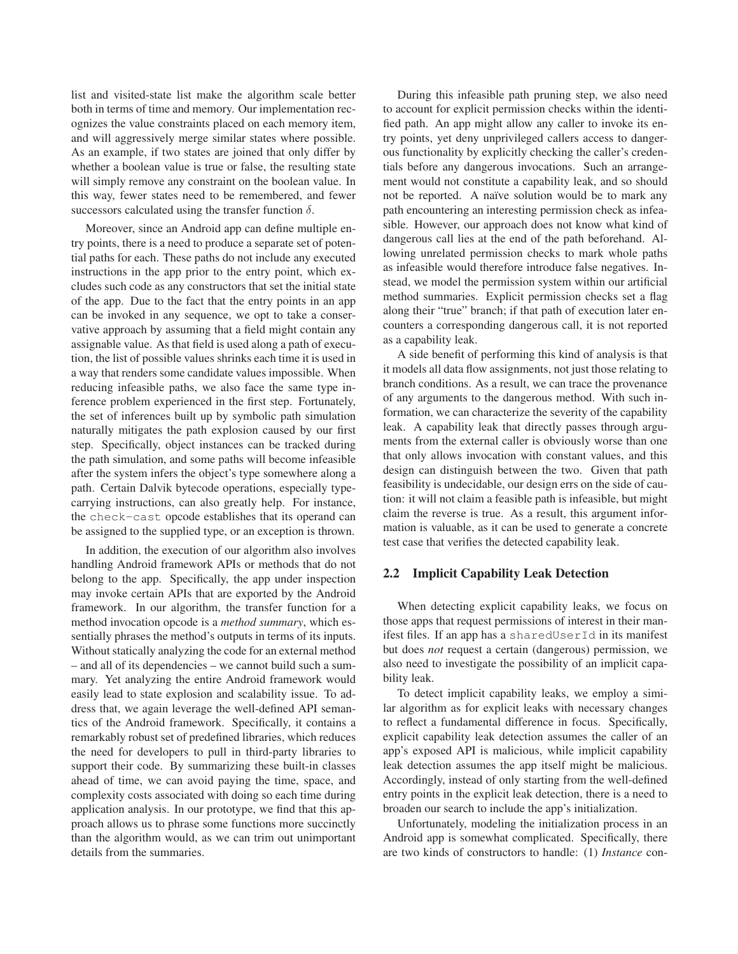list and visited-state list make the algorithm scale better both in terms of time and memory. Our implementation recognizes the value constraints placed on each memory item, and will aggressively merge similar states where possible. As an example, if two states are joined that only differ by whether a boolean value is true or false, the resulting state will simply remove any constraint on the boolean value. In this way, fewer states need to be remembered, and fewer successors calculated using the transfer function  $\delta$ .

Moreover, since an Android app can define multiple entry points, there is a need to produce a separate set of potential paths for each. These paths do not include any executed instructions in the app prior to the entry point, which excludes such code as any constructors that set the initial state of the app. Due to the fact that the entry points in an app can be invoked in any sequence, we opt to take a conservative approach by assuming that a field might contain any assignable value. As that field is used along a path of execution, the list of possible values shrinks each time it is used in a way that renders some candidate values impossible. When reducing infeasible paths, we also face the same type inference problem experienced in the first step. Fortunately, the set of inferences built up by symbolic path simulation naturally mitigates the path explosion caused by our first step. Specifically, object instances can be tracked during the path simulation, and some paths will become infeasible after the system infers the object's type somewhere along a path. Certain Dalvik bytecode operations, especially typecarrying instructions, can also greatly help. For instance, the check-cast opcode establishes that its operand can be assigned to the supplied type, or an exception is thrown.

In addition, the execution of our algorithm also involves handling Android framework APIs or methods that do not belong to the app. Specifically, the app under inspection may invoke certain APIs that are exported by the Android framework. In our algorithm, the transfer function for a method invocation opcode is a *method summary*, which essentially phrases the method's outputs in terms of its inputs. Without statically analyzing the code for an external method – and all of its dependencies – we cannot build such a summary. Yet analyzing the entire Android framework would easily lead to state explosion and scalability issue. To address that, we again leverage the well-defined API semantics of the Android framework. Specifically, it contains a remarkably robust set of predefined libraries, which reduces the need for developers to pull in third-party libraries to support their code. By summarizing these built-in classes ahead of time, we can avoid paying the time, space, and complexity costs associated with doing so each time during application analysis. In our prototype, we find that this approach allows us to phrase some functions more succinctly than the algorithm would, as we can trim out unimportant details from the summaries.

During this infeasible path pruning step, we also need to account for explicit permission checks within the identified path. An app might allow any caller to invoke its entry points, yet deny unprivileged callers access to dangerous functionality by explicitly checking the caller's credentials before any dangerous invocations. Such an arrangement would not constitute a capability leak, and so should not be reported. A naïve solution would be to mark any path encountering an interesting permission check as infeasible. However, our approach does not know what kind of dangerous call lies at the end of the path beforehand. Allowing unrelated permission checks to mark whole paths as infeasible would therefore introduce false negatives. Instead, we model the permission system within our artificial method summaries. Explicit permission checks set a flag along their "true" branch; if that path of execution later encounters a corresponding dangerous call, it is not reported as a capability leak.

A side benefit of performing this kind of analysis is that it models all data flow assignments, not just those relating to branch conditions. As a result, we can trace the provenance of any arguments to the dangerous method. With such information, we can characterize the severity of the capability leak. A capability leak that directly passes through arguments from the external caller is obviously worse than one that only allows invocation with constant values, and this design can distinguish between the two. Given that path feasibility is undecidable, our design errs on the side of caution: it will not claim a feasible path is infeasible, but might claim the reverse is true. As a result, this argument information is valuable, as it can be used to generate a concrete test case that verifies the detected capability leak.

#### **2.2 Implicit Capability Leak Detection**

When detecting explicit capability leaks, we focus on those apps that request permissions of interest in their manifest files. If an app has a sharedUserId in its manifest but does *not* request a certain (dangerous) permission, we also need to investigate the possibility of an implicit capability leak.

To detect implicit capability leaks, we employ a similar algorithm as for explicit leaks with necessary changes to reflect a fundamental difference in focus. Specifically, explicit capability leak detection assumes the caller of an app's exposed API is malicious, while implicit capability leak detection assumes the app itself might be malicious. Accordingly, instead of only starting from the well-defined entry points in the explicit leak detection, there is a need to broaden our search to include the app's initialization.

Unfortunately, modeling the initialization process in an Android app is somewhat complicated. Specifically, there are two kinds of constructors to handle: (1) *Instance* con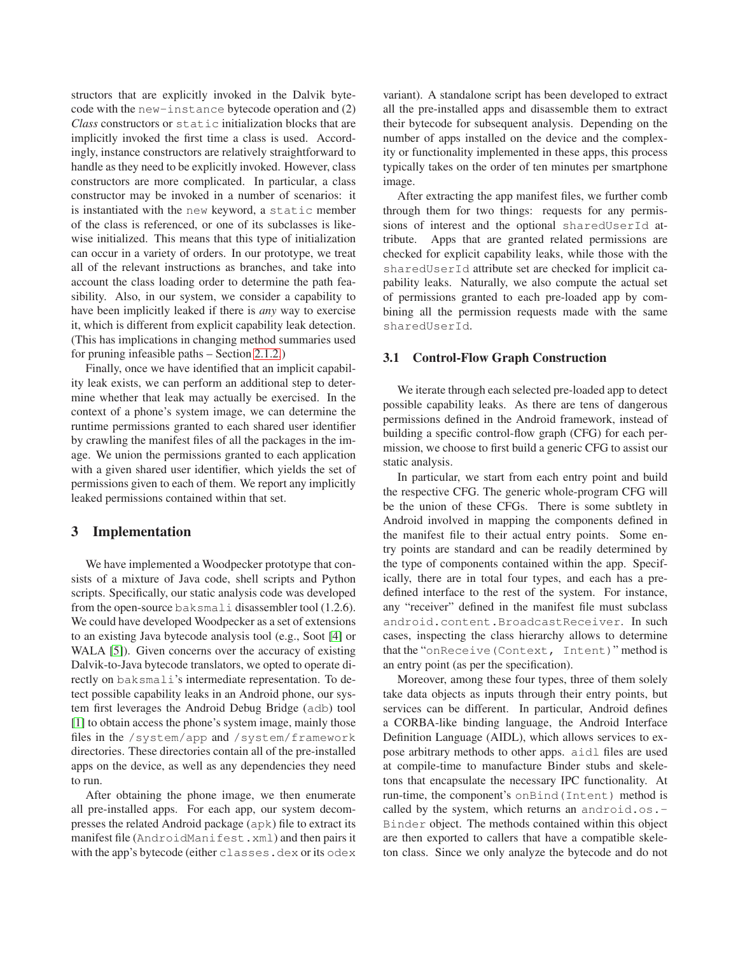structors that are explicitly invoked in the Dalvik bytecode with the new-instance bytecode operation and (2) *Class* constructors or static initialization blocks that are implicitly invoked the first time a class is used. Accordingly, instance constructors are relatively straightforward to handle as they need to be explicitly invoked. However, class constructors are more complicated. In particular, a class constructor may be invoked in a number of scenarios: it is instantiated with the new keyword, a static member of the class is referenced, or one of its subclasses is likewise initialized. This means that this type of initialization can occur in a variety of orders. In our prototype, we treat all of the relevant instructions as branches, and take into account the class loading order to determine the path feasibility. Also, in our system, we consider a capability to have been implicitly leaked if there is *any* way to exercise it, which is different from explicit capability leak detection. (This has implications in changing method summaries used for pruning infeasible paths – Section [2.1.2.](#page-3-2))

Finally, once we have identified that an implicit capability leak exists, we can perform an additional step to determine whether that leak may actually be exercised. In the context of a phone's system image, we can determine the runtime permissions granted to each shared user identifier by crawling the manifest files of all the packages in the image. We union the permissions granted to each application with a given shared user identifier, which yields the set of permissions given to each of them. We report any implicitly leaked permissions contained within that set.

### <span id="page-5-0"></span>**3 Implementation**

We have implemented a Woodpecker prototype that consists of a mixture of Java code, shell scripts and Python scripts. Specifically, our static analysis code was developed from the open-source baksmali disassembler tool (1.2.6). We could have developed Woodpecker as a set of extensions to an existing Java bytecode analysis tool (e.g., Soot [\[4\]](#page-13-6) or WALA [\[5\]](#page-13-7)). Given concerns over the accuracy of existing Dalvik-to-Java bytecode translators, we opted to operate directly on baksmali's intermediate representation. To detect possible capability leaks in an Android phone, our system first leverages the Android Debug Bridge (adb) tool [\[1\]](#page-13-8) to obtain access the phone's system image, mainly those files in the /system/app and /system/framework directories. These directories contain all of the pre-installed apps on the device, as well as any dependencies they need to run.

After obtaining the phone image, we then enumerate all pre-installed apps. For each app, our system decompresses the related Android package (apk) file to extract its manifest file (AndroidManifest.xml) and then pairs it with the app's bytecode (either classes.dex or its odex

variant). A standalone script has been developed to extract all the pre-installed apps and disassemble them to extract their bytecode for subsequent analysis. Depending on the number of apps installed on the device and the complexity or functionality implemented in these apps, this process typically takes on the order of ten minutes per smartphone image.

After extracting the app manifest files, we further comb through them for two things: requests for any permissions of interest and the optional sharedUserId attribute. Apps that are granted related permissions are checked for explicit capability leaks, while those with the sharedUserId attribute set are checked for implicit capability leaks. Naturally, we also compute the actual set of permissions granted to each pre-loaded app by combining all the permission requests made with the same sharedUserId.

#### **3.1 Control-Flow Graph Construction**

We iterate through each selected pre-loaded app to detect possible capability leaks. As there are tens of dangerous permissions defined in the Android framework, instead of building a specific control-flow graph (CFG) for each permission, we choose to first build a generic CFG to assist our static analysis.

In particular, we start from each entry point and build the respective CFG. The generic whole-program CFG will be the union of these CFGs. There is some subtlety in Android involved in mapping the components defined in the manifest file to their actual entry points. Some entry points are standard and can be readily determined by the type of components contained within the app. Specifically, there are in total four types, and each has a predefined interface to the rest of the system. For instance, any "receiver" defined in the manifest file must subclass android.content.BroadcastReceiver. In such cases, inspecting the class hierarchy allows to determine that the "onReceive(Context, Intent)" method is an entry point (as per the specification).

Moreover, among these four types, three of them solely take data objects as inputs through their entry points, but services can be different. In particular, Android defines a CORBA-like binding language, the Android Interface Definition Language (AIDL), which allows services to expose arbitrary methods to other apps. aidl files are used at compile-time to manufacture Binder stubs and skeletons that encapsulate the necessary IPC functionality. At run-time, the component's onBind(Intent) method is called by the system, which returns an android.os.- Binder object. The methods contained within this object are then exported to callers that have a compatible skeleton class. Since we only analyze the bytecode and do not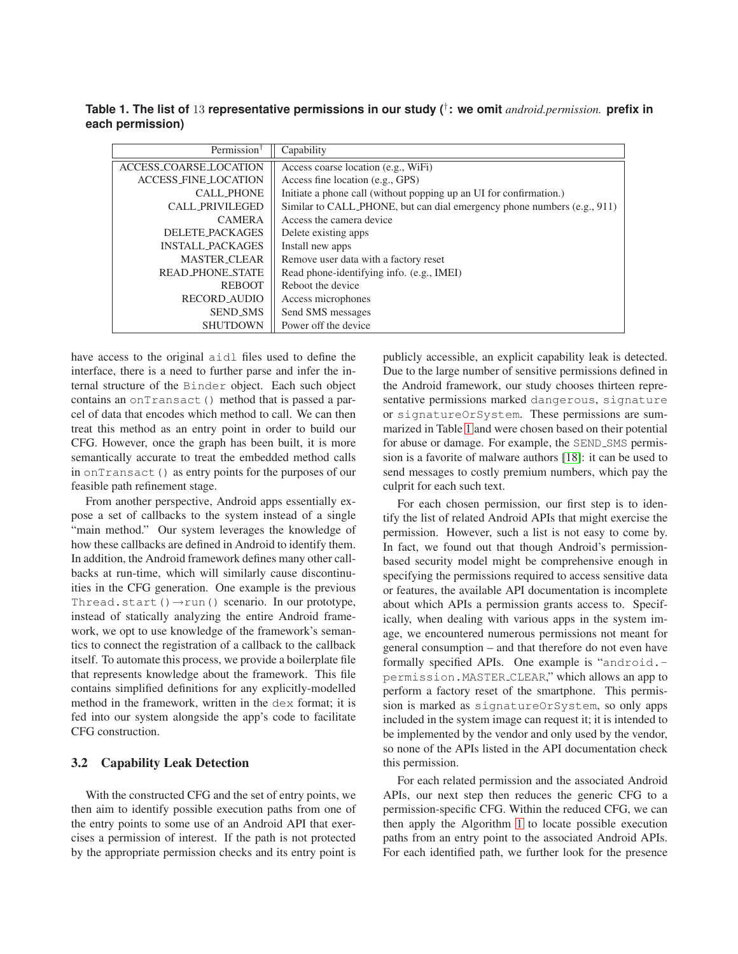<span id="page-6-0"></span>**Table 1. The list of** 13 **representative permissions in our study (**† **: we omit** *android.permission.* **prefix in each permission)**

| Permission <sup>†</sup>     | Capability                                                              |  |  |
|-----------------------------|-------------------------------------------------------------------------|--|--|
| ACCESS_COARSE_LOCATION      | Access coarse location (e.g., WiFi)                                     |  |  |
| <b>ACCESS_FINE_LOCATION</b> | Access fine location (e.g., GPS)                                        |  |  |
| <b>CALL_PHONE</b>           | Initiate a phone call (without popping up an UI for confirmation.)      |  |  |
| <b>CALL_PRIVILEGED</b>      | Similar to CALL_PHONE, but can dial emergency phone numbers (e.g., 911) |  |  |
| <b>CAMERA</b>               | Access the camera device                                                |  |  |
| <b>DELETE_PACKAGES</b>      | Delete existing apps                                                    |  |  |
| <b>INSTALL_PACKAGES</b>     | Install new apps                                                        |  |  |
| <b>MASTER_CLEAR</b>         | Remove user data with a factory reset                                   |  |  |
| <b>READ PHONE STATE</b>     | Read phone-identifying info. (e.g., IMEI)                               |  |  |
| <b>REBOOT</b>               | Reboot the device                                                       |  |  |
| <b>RECORD_AUDIO</b>         | Access microphones                                                      |  |  |
| <b>SEND_SMS</b>             | Send SMS messages                                                       |  |  |
| <b>SHUTDOWN</b>             | Power off the device                                                    |  |  |

have access to the original aidl files used to define the interface, there is a need to further parse and infer the internal structure of the Binder object. Each such object contains an onTransact() method that is passed a parcel of data that encodes which method to call. We can then treat this method as an entry point in order to build our CFG. However, once the graph has been built, it is more semantically accurate to treat the embedded method calls in onTransact() as entry points for the purposes of our feasible path refinement stage.

From another perspective, Android apps essentially expose a set of callbacks to the system instead of a single "main method." Our system leverages the knowledge of how these callbacks are defined in Android to identify them. In addition, the Android framework defines many other callbacks at run-time, which will similarly cause discontinuities in the CFG generation. One example is the previous Thread.start() $\rightarrow$ run() scenario. In our prototype, instead of statically analyzing the entire Android framework, we opt to use knowledge of the framework's semantics to connect the registration of a callback to the callback itself. To automate this process, we provide a boilerplate file that represents knowledge about the framework. This file contains simplified definitions for any explicitly-modelled method in the framework, written in the dex format; it is fed into our system alongside the app's code to facilitate CFG construction.

### **3.2 Capability Leak Detection**

With the constructed CFG and the set of entry points, we then aim to identify possible execution paths from one of the entry points to some use of an Android API that exercises a permission of interest. If the path is not protected by the appropriate permission checks and its entry point is publicly accessible, an explicit capability leak is detected. Due to the large number of sensitive permissions defined in the Android framework, our study chooses thirteen representative permissions marked dangerous, signature or signatureOrSystem. These permissions are summarized in Table [1](#page-6-0) and were chosen based on their potential for abuse or damage. For example, the SEND<sub>-SMS</sub> permission is a favorite of malware authors [\[18\]](#page-14-6): it can be used to send messages to costly premium numbers, which pay the culprit for each such text.

For each chosen permission, our first step is to identify the list of related Android APIs that might exercise the permission. However, such a list is not easy to come by. In fact, we found out that though Android's permissionbased security model might be comprehensive enough in specifying the permissions required to access sensitive data or features, the available API documentation is incomplete about which APIs a permission grants access to. Specifically, when dealing with various apps in the system image, we encountered numerous permissions not meant for general consumption – and that therefore do not even have formally specified APIs. One example is "android. permission.MASTER CLEAR," which allows an app to perform a factory reset of the smartphone. This permission is marked as signatureOrSystem, so only apps included in the system image can request it; it is intended to be implemented by the vendor and only used by the vendor, so none of the APIs listed in the API documentation check this permission.

For each related permission and the associated Android APIs, our next step then reduces the generic CFG to a permission-specific CFG. Within the reduced CFG, we can then apply the Algorithm [1](#page-3-1) to locate possible execution paths from an entry point to the associated Android APIs. For each identified path, we further look for the presence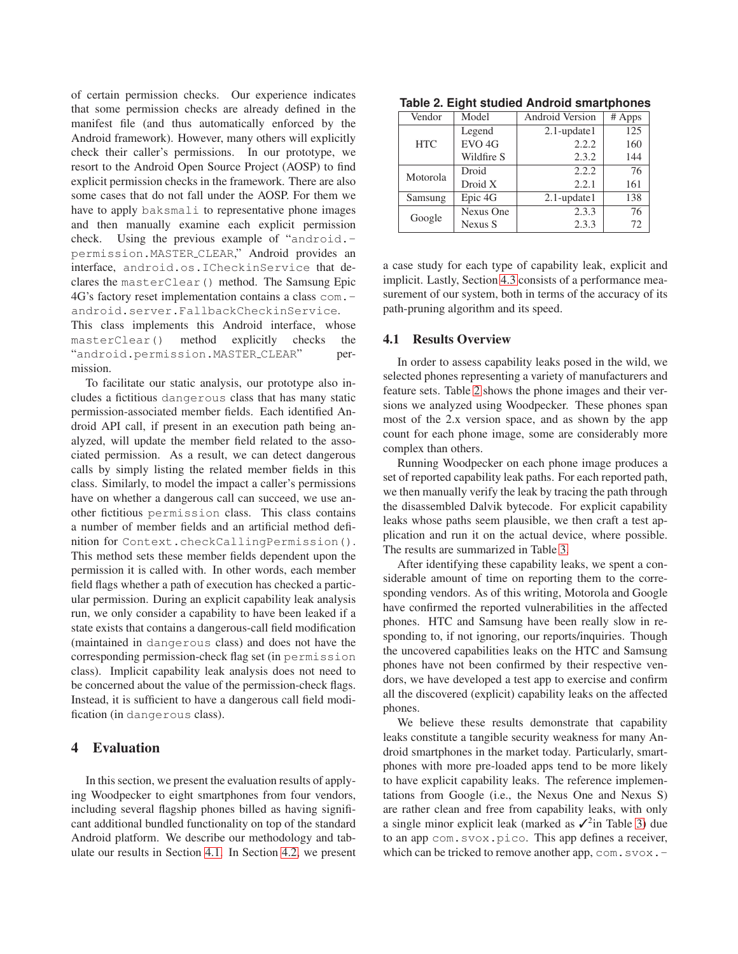of certain permission checks. Our experience indicates that some permission checks are already defined in the manifest file (and thus automatically enforced by the Android framework). However, many others will explicitly check their caller's permissions. In our prototype, we resort to the Android Open Source Project (AOSP) to find explicit permission checks in the framework. There are also some cases that do not fall under the AOSP. For them we have to apply baksmali to representative phone images and then manually examine each explicit permission check. Using the previous example of "android. permission.MASTER CLEAR," Android provides an interface, android.os.ICheckinService that declares the masterClear() method. The Samsung Epic 4G's factory reset implementation contains a class com. android.server.FallbackCheckinService.

This class implements this Android interface, whose masterClear() method explicitly checks the "android.permission.MASTER\_CLEAR" permission.

To facilitate our static analysis, our prototype also includes a fictitious dangerous class that has many static permission-associated member fields. Each identified Android API call, if present in an execution path being analyzed, will update the member field related to the associated permission. As a result, we can detect dangerous calls by simply listing the related member fields in this class. Similarly, to model the impact a caller's permissions have on whether a dangerous call can succeed, we use another fictitious permission class. This class contains a number of member fields and an artificial method definition for Context.checkCallingPermission(). This method sets these member fields dependent upon the permission it is called with. In other words, each member field flags whether a path of execution has checked a particular permission. During an explicit capability leak analysis run, we only consider a capability to have been leaked if a state exists that contains a dangerous-call field modification (maintained in dangerous class) and does not have the corresponding permission-check flag set (in permission class). Implicit capability leak analysis does not need to be concerned about the value of the permission-check flags. Instead, it is sufficient to have a dangerous call field modification (in dangerous class).

# <span id="page-7-0"></span>**4 Evaluation**

In this section, we present the evaluation results of applying Woodpecker to eight smartphones from four vendors, including several flagship phones billed as having significant additional bundled functionality on top of the standard Android platform. We describe our methodology and tabulate our results in Section [4.1.](#page-7-1) In Section [4.2,](#page-8-0) we present

<span id="page-7-2"></span>

| Vendor     | Model             | <b>Android Version</b> | # Apps |
|------------|-------------------|------------------------|--------|
|            | Legend            | $2.1$ -update $1$      | 125    |
| <b>HTC</b> | EVO <sub>4G</sub> | 2.2.2                  | 160    |
|            | Wildfire S        | 2.3.2                  | 144    |
| Motorola   | Droid             | 2.2.2                  | 76     |
|            | Droid X           | 2.2.1                  | 161    |
| Samsung    | Epic 4G           | $2.1$ -update $1$      | 138    |
| Google     | Nexus One         | 2.3.3                  | 76     |
|            | Nexus S           | 2.3.3                  | 72     |

**Table 2. Eight studied Android smartphones**

a case study for each type of capability leak, explicit and implicit. Lastly, Section [4.3](#page-10-0) consists of a performance measurement of our system, both in terms of the accuracy of its path-pruning algorithm and its speed.

#### <span id="page-7-1"></span>**4.1 Results Overview**

In order to assess capability leaks posed in the wild, we selected phones representing a variety of manufacturers and feature sets. Table [2](#page-7-2) shows the phone images and their versions we analyzed using Woodpecker. These phones span most of the 2.x version space, and as shown by the app count for each phone image, some are considerably more complex than others.

Running Woodpecker on each phone image produces a set of reported capability leak paths. For each reported path, we then manually verify the leak by tracing the path through the disassembled Dalvik bytecode. For explicit capability leaks whose paths seem plausible, we then craft a test application and run it on the actual device, where possible. The results are summarized in Table [3.](#page-8-1)

After identifying these capability leaks, we spent a considerable amount of time on reporting them to the corresponding vendors. As of this writing, Motorola and Google have confirmed the reported vulnerabilities in the affected phones. HTC and Samsung have been really slow in responding to, if not ignoring, our reports/inquiries. Though the uncovered capabilities leaks on the HTC and Samsung phones have not been confirmed by their respective vendors, we have developed a test app to exercise and confirm all the discovered (explicit) capability leaks on the affected phones.

We believe these results demonstrate that capability leaks constitute a tangible security weakness for many Android smartphones in the market today. Particularly, smartphones with more pre-loaded apps tend to be more likely to have explicit capability leaks. The reference implementations from Google (i.e., the Nexus One and Nexus S) are rather clean and free from capability leaks, with only a single minor explicit leak (marked as  $\mathcal{I}^2$ in Table [3\)](#page-8-1) due to an app com.svox.pico. This app defines a receiver, which can be tricked to remove another app,  $com.\svox.$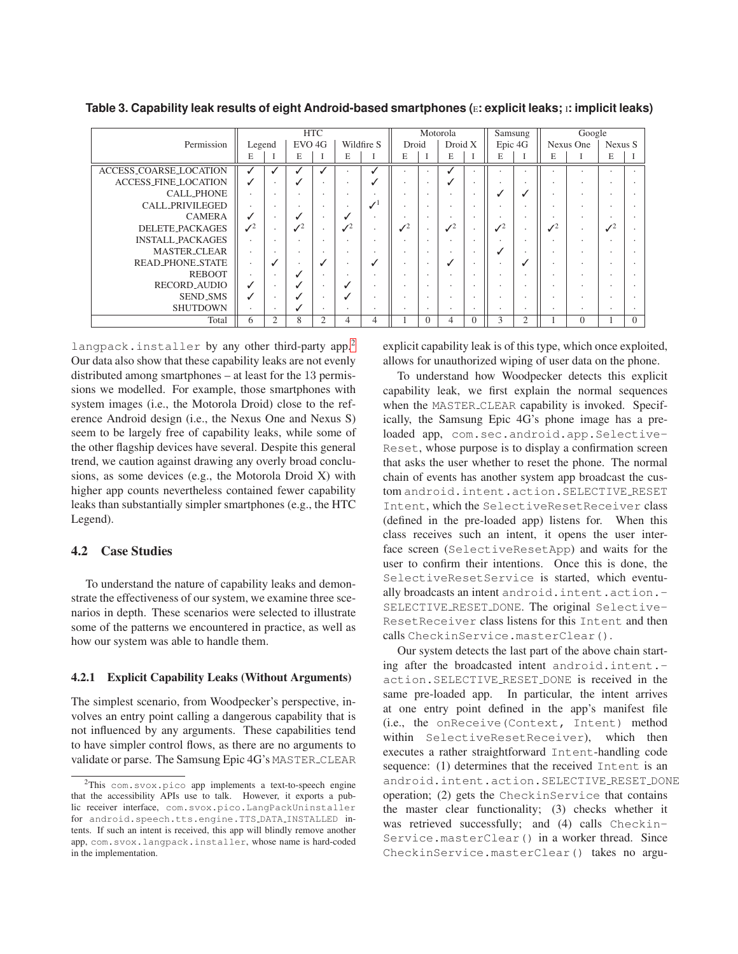<span id="page-8-1"></span>**Table 3. Capability leak results of eight Android-based smartphones (**E**: explicit leaks;** <sup>I</sup>**: implicit leaks)**

|                             |                 |           |                          | <b>HTC</b>           |                      |                 |                      |                          | Motorola        |                          | Samsung         |                      |                      | Google    |                 |          |
|-----------------------------|-----------------|-----------|--------------------------|----------------------|----------------------|-----------------|----------------------|--------------------------|-----------------|--------------------------|-----------------|----------------------|----------------------|-----------|-----------------|----------|
| Permission                  | Legend          |           | EVO 4G                   |                      |                      | Wildfire S      | Droid                |                          | Droid X         |                          | Epic 4G         |                      |                      | Nexus One | Nexus S         |          |
|                             | E               |           | E                        |                      | E                    |                 | E                    |                          | E               |                          | E               |                      | E                    |           | E               |          |
| ACCESS_COARSE_LOCATION      |                 |           |                          |                      |                      |                 |                      | $\cdot$                  | ں               |                          |                 |                      |                      | ٠         | $\Delta$        |          |
| <b>ACCESS_FINE_LOCATION</b> | ✓               |           |                          | ٠                    | $\ddot{\phantom{0}}$ |                 | ٠                    | $\cdot$                  | J               | ٠                        |                 | $\cdot$              | $\cdot$              | ٠         | $\cdot$         |          |
| <b>CALL_PHONE</b>           |                 |           |                          | $\bullet$            |                      | ٠               | $\cdot$              | $\cdot$                  | ٠.              |                          |                 | ں                    | $\ddot{\phantom{1}}$ | ٠         | $\Delta$        |          |
| CALL_PRIVILEGED             | $\sim$          |           |                          | $\cdot$              | $\ddot{\phantom{1}}$ | $\mathcal{N}^1$ | $\cdot$              | $\bullet$                | ٠               | ٠                        |                 | $\ddot{\phantom{1}}$ | $\cdot$              | ٠         | $\cdot$         |          |
| <b>CAMERA</b>               | ✓               |           |                          | $\ddot{\phantom{0}}$ | √                    | ٠               |                      | $\ddot{\phantom{1}}$     | ٠               |                          |                 |                      |                      | ٠         | $\overline{a}$  |          |
| DELETE_PACKAGES             | $\mathcal{I}^2$ |           | $\mathcal{I}^2$          | $\cdot$              | $\mathcal{I}^2$      | ٠               | $\mathcal{I}^2$      | $\bullet$                | $\mathcal{J}^2$ | $\overline{\phantom{a}}$ | $\mathcal{I}^2$ | $\cdot$              | $\mathcal{I}^2$      | ٠         | $\mathcal{I}^2$ |          |
| <b>INSTALL_PACKAGES</b>     |                 |           |                          | ٠                    | $\ddot{\phantom{0}}$ | ٠               | $\cdot$              | $\cdot$                  | $\cdot$         |                          |                 | $\cdot$              | $\cdot$              | ٠         | $\cdot$         |          |
| <b>MASTER_CLEAR</b>         | ٠               |           | $\overline{\phantom{a}}$ | $\cdot$              | $\ddot{\phantom{1}}$ | ۰               | $\cdot$              | $\bullet$                | $\cdot$         | ٠                        |                 | $\cdot$              | $\cdot$              | ٠         | ۰               |          |
| <b>READ_PHONE_STATE</b>     | ٠               | v         |                          |                      |                      | ✓               | $\cdot$              | $\cdot$                  | J               |                          |                 | ں                    | $\cdot$              | ٠         | ۰               |          |
| <b>REBOOT</b>               | ٠               |           |                          | $\bullet$            | $\ddot{\phantom{1}}$ | $\Delta$        | $\ddot{\phantom{0}}$ | $\overline{\phantom{a}}$ | ÷.              | $\overline{\phantom{a}}$ |                 |                      | $\ddot{\phantom{1}}$ | ٠         | $\sim$          |          |
| <b>RECORD_AUDIO</b>         | ✓               |           |                          | $\cdot$              | √                    | $\bullet$       | $\cdot$              | $\cdot$                  | ٠               |                          |                 |                      |                      | ٠         | $\Delta$        |          |
| <b>SEND_SMS</b>             | J               |           |                          | $\cdot$              | J                    | ۰               | $\cdot$              | $\bullet$                | $\cdot$         | $\overline{\phantom{a}}$ |                 | $\ddot{\phantom{1}}$ | $\ddot{\phantom{1}}$ | ٠         | $\sim$          |          |
| <b>SHUTDOWN</b>             |                 | $\bullet$ |                          | $\cdot$              | $\cdot$              | $\bullet$       | $\cdot$              | $\cdot$                  | $\cdot$         | ٠                        | $\bullet$       | $\cdot$              | $\cdot$              | ۰         | $\bullet$       |          |
| Total                       | 6               | 2         | 8                        | 2                    | 4                    | 4               |                      | $\cup$                   | $\overline{4}$  | $\Omega$                 | 3               | $\overline{c}$       |                      | $\Omega$  |                 | $\Omega$ |

langpack.installer by any other third-party app.<sup>[2](#page-8-2)</sup> Our data also show that these capability leaks are not evenly distributed among smartphones – at least for the 13 permissions we modelled. For example, those smartphones with system images (i.e., the Motorola Droid) close to the reference Android design (i.e., the Nexus One and Nexus S) seem to be largely free of capability leaks, while some of the other flagship devices have several. Despite this general trend, we caution against drawing any overly broad conclusions, as some devices (e.g., the Motorola Droid X) with higher app counts nevertheless contained fewer capability leaks than substantially simpler smartphones (e.g., the HTC Legend).

# <span id="page-8-0"></span>**4.2 Case Studies**

To understand the nature of capability leaks and demonstrate the effectiveness of our system, we examine three scenarios in depth. These scenarios were selected to illustrate some of the patterns we encountered in practice, as well as how our system was able to handle them.

### **4.2.1 Explicit Capability Leaks (Without Arguments)**

The simplest scenario, from Woodpecker's perspective, involves an entry point calling a dangerous capability that is not influenced by any arguments. These capabilities tend to have simpler control flows, as there are no arguments to validate or parse. The Samsung Epic 4G's MASTER CLEAR explicit capability leak is of this type, which once exploited, allows for unauthorized wiping of user data on the phone.

To understand how Woodpecker detects this explicit capability leak, we first explain the normal sequences when the MASTER CLEAR capability is invoked. Specifically, the Samsung Epic 4G's phone image has a preloaded app, com.sec.android.app.Selective-Reset, whose purpose is to display a confirmation screen that asks the user whether to reset the phone. The normal chain of events has another system app broadcast the custom android. intent.action. SELECTIVE\_RESET Intent, which the SelectiveResetReceiver class (defined in the pre-loaded app) listens for. When this class receives such an intent, it opens the user interface screen (SelectiveResetApp) and waits for the user to confirm their intentions. Once this is done, the SelectiveResetService is started, which eventually broadcasts an intent android.intent.action.- SELECTIVE RESET DONE. The original Selective-ResetReceiver class listens for this Intent and then calls CheckinService.masterClear().

Our system detects the last part of the above chain starting after the broadcasted intent android.intent. action.SELECTIVE RESET DONE is received in the same pre-loaded app. In particular, the intent arrives at one entry point defined in the app's manifest file (i.e., the onReceive(Context, Intent) method within SelectiveResetReceiver), which then executes a rather straightforward Intent-handling code sequence: (1) determines that the received Intent is an android.intent.action.SELECTIVE RESET DONE operation; (2) gets the CheckinService that contains the master clear functionality; (3) checks whether it was retrieved successfully; and (4) calls Checkin-Service.masterClear() in a worker thread. Since CheckinService.masterClear() takes no argu-

<span id="page-8-2"></span><sup>&</sup>lt;sup>2</sup>This com.svox.pico app implements a text-to-speech engine that the accessibility APIs use to talk. However, it exports a public receiver interface, com.svox.pico.LangPackUninstaller for android.speech.tts.engine.TTS DATA INSTALLED intents. If such an intent is received, this app will blindly remove another app, com.svox.langpack.installer, whose name is hard-coded in the implementation.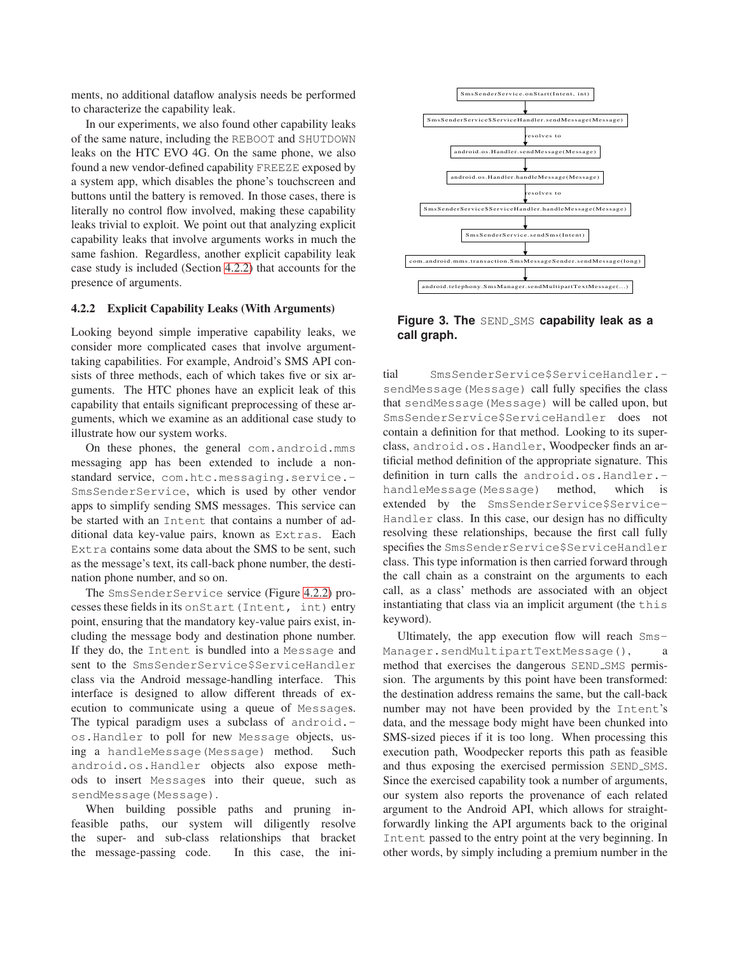ments, no additional dataflow analysis needs be performed to characterize the capability leak.

In our experiments, we also found other capability leaks of the same nature, including the REBOOT and SHUTDOWN leaks on the HTC EVO 4G. On the same phone, we also found a new vendor-defined capability FREEZE exposed by a system app, which disables the phone's touchscreen and buttons until the battery is removed. In those cases, there is literally no control flow involved, making these capability leaks trivial to exploit. We point out that analyzing explicit capability leaks that involve arguments works in much the same fashion. Regardless, another explicit capability leak case study is included (Section [4.2.2\)](#page-9-0) that accounts for the presence of arguments.

#### <span id="page-9-0"></span>**4.2.2 Explicit Capability Leaks (With Arguments)**

Looking beyond simple imperative capability leaks, we consider more complicated cases that involve argumenttaking capabilities. For example, Android's SMS API consists of three methods, each of which takes five or six arguments. The HTC phones have an explicit leak of this capability that entails significant preprocessing of these arguments, which we examine as an additional case study to illustrate how our system works.

On these phones, the general com.android.mms messaging app has been extended to include a nonstandard service, com.htc.messaging.service.-SmsSenderService, which is used by other vendor apps to simplify sending SMS messages. This service can be started with an Intent that contains a number of additional data key-value pairs, known as Extras. Each Extra contains some data about the SMS to be sent, such as the message's text, its call-back phone number, the destination phone number, and so on.

The SmsSenderService service (Figure [4.2.2\)](#page-9-0) processes these fields in its onStart(Intent, int) entry point, ensuring that the mandatory key-value pairs exist, including the message body and destination phone number. If they do, the Intent is bundled into a Message and sent to the SmsSenderService\$ServiceHandler class via the Android message-handling interface. This interface is designed to allow different threads of execution to communicate using a queue of Messages. The typical paradigm uses a subclass of android.os.Handler to poll for new Message objects, using a handleMessage(Message) method. Such android.os.Handler objects also expose methods to insert Messages into their queue, such as sendMessage(Message).

When building possible paths and pruning infeasible paths, our system will diligently resolve the super- and sub-class relationships that bracket the message-passing code. In this case, the ini-



**Figure 3. The SEND SMS capability leak as a call graph.**

tial SmsSenderService\$ServiceHandler. sendMessage(Message) call fully specifies the class that sendMessage(Message) will be called upon, but SmsSenderService\$ServiceHandler does not contain a definition for that method. Looking to its superclass, android.os.Handler, Woodpecker finds an artificial method definition of the appropriate signature. This definition in turn calls the android.os.Handler. handleMessage(Message) method, which is extended by the SmsSenderService\$Service-Handler class. In this case, our design has no difficulty resolving these relationships, because the first call fully specifies the SmsSenderService\$ServiceHandler class. This type information is then carried forward through the call chain as a constraint on the arguments to each call, as a class' methods are associated with an object instantiating that class via an implicit argument (the this keyword).

Ultimately, the app execution flow will reach Sms-Manager.sendMultipartTextMessage(), method that exercises the dangerous SEND<sub>-SMS</sub> permission. The arguments by this point have been transformed: the destination address remains the same, but the call-back number may not have been provided by the Intent's data, and the message body might have been chunked into SMS-sized pieces if it is too long. When processing this execution path, Woodpecker reports this path as feasible and thus exposing the exercised permission SEND\_SMS. Since the exercised capability took a number of arguments, our system also reports the provenance of each related argument to the Android API, which allows for straightforwardly linking the API arguments back to the original Intent passed to the entry point at the very beginning. In other words, by simply including a premium number in the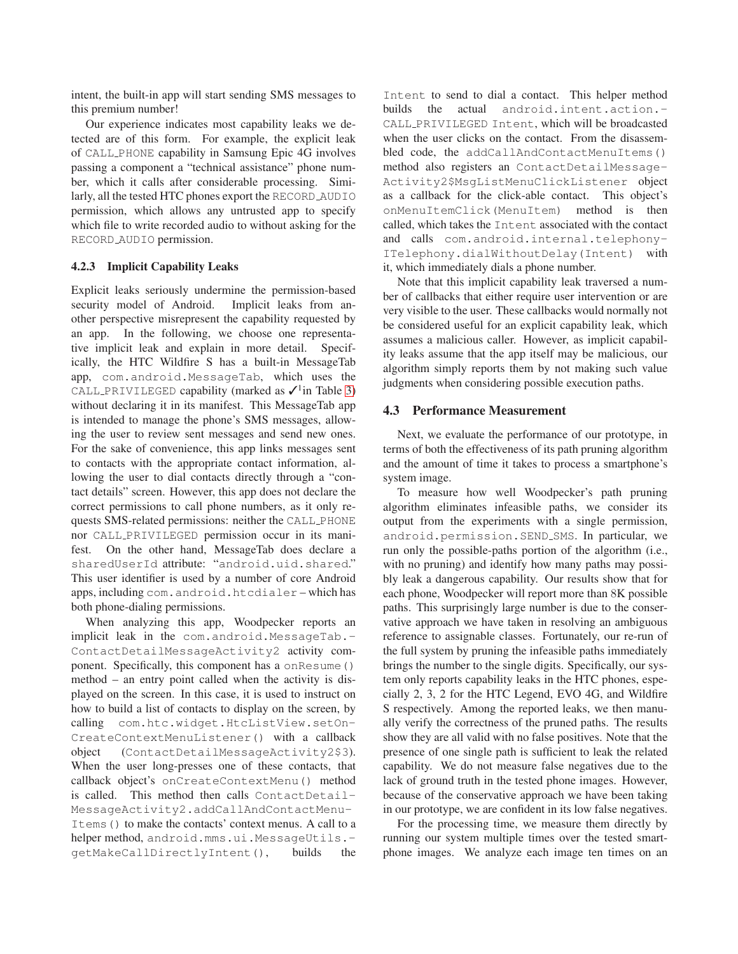intent, the built-in app will start sending SMS messages to this premium number!

Our experience indicates most capability leaks we detected are of this form. For example, the explicit leak of CALL PHONE capability in Samsung Epic 4G involves passing a component a "technical assistance" phone number, which it calls after considerable processing. Similarly, all the tested HTC phones export the RECORD AUDIO permission, which allows any untrusted app to specify which file to write recorded audio to without asking for the RECORD AUDIO permission.

#### **4.2.3 Implicit Capability Leaks**

Explicit leaks seriously undermine the permission-based security model of Android. Implicit leaks from another perspective misrepresent the capability requested by an app. In the following, we choose one representative implicit leak and explain in more detail. Specifically, the HTC Wildfire S has a built-in MessageTab app, com.android.MessageTab, which uses the CALL\_PRIVILEGED capability (marked as  $\checkmark$ <sup>1</sup> in Table [3\)](#page-8-1) without declaring it in its manifest. This MessageTab app is intended to manage the phone's SMS messages, allowing the user to review sent messages and send new ones. For the sake of convenience, this app links messages sent to contacts with the appropriate contact information, allowing the user to dial contacts directly through a "contact details" screen. However, this app does not declare the correct permissions to call phone numbers, as it only requests SMS-related permissions: neither the CALL PHONE nor CALL PRIVILEGED permission occur in its manifest. On the other hand, MessageTab does declare a sharedUserId attribute: "android.uid.shared." This user identifier is used by a number of core Android apps, including com.android.htcdialer – which has both phone-dialing permissions.

When analyzing this app, Woodpecker reports an implicit leak in the com.android.MessageTab.- ContactDetailMessageActivity2 activity component. Specifically, this component has a onResume() method – an entry point called when the activity is displayed on the screen. In this case, it is used to instruct on how to build a list of contacts to display on the screen, by calling com.htc.widget.HtcListView.setOn-CreateContextMenuListener() with a callback object (ContactDetailMessageActivity2\$3). When the user long-presses one of these contacts, that callback object's onCreateContextMenu() method is called. This method then calls ContactDetail-MessageActivity2.addCallAndContactMenu-Items() to make the contacts' context menus. A call to a helper method, android.mms.ui.MessageUtils. getMakeCallDirectlyIntent(), builds the

Intent to send to dial a contact. This helper method builds the actual android.intent.action.- CALL PRIVILEGED Intent, which will be broadcasted when the user clicks on the contact. From the disassembled code, the addCallAndContactMenuItems() method also registers an ContactDetailMessage-Activity2\$MsgListMenuClickListener object as a callback for the click-able contact. This object's onMenuItemClick(MenuItem) method is then called, which takes the Intent associated with the contact and calls com.android.internal.telephony-ITelephony.dialWithoutDelay(Intent) with it, which immediately dials a phone number.

Note that this implicit capability leak traversed a number of callbacks that either require user intervention or are very visible to the user. These callbacks would normally not be considered useful for an explicit capability leak, which assumes a malicious caller. However, as implicit capability leaks assume that the app itself may be malicious, our algorithm simply reports them by not making such value judgments when considering possible execution paths.

# <span id="page-10-0"></span>**4.3 Performance Measurement**

Next, we evaluate the performance of our prototype, in terms of both the effectiveness of its path pruning algorithm and the amount of time it takes to process a smartphone's system image.

To measure how well Woodpecker's path pruning algorithm eliminates infeasible paths, we consider its output from the experiments with a single permission, android.permission.SEND SMS. In particular, we run only the possible-paths portion of the algorithm (i.e., with no pruning) and identify how many paths may possibly leak a dangerous capability. Our results show that for each phone, Woodpecker will report more than 8K possible paths. This surprisingly large number is due to the conservative approach we have taken in resolving an ambiguous reference to assignable classes. Fortunately, our re-run of the full system by pruning the infeasible paths immediately brings the number to the single digits. Specifically, our system only reports capability leaks in the HTC phones, especially 2, 3, 2 for the HTC Legend, EVO 4G, and Wildfire S respectively. Among the reported leaks, we then manually verify the correctness of the pruned paths. The results show they are all valid with no false positives. Note that the presence of one single path is sufficient to leak the related capability. We do not measure false negatives due to the lack of ground truth in the tested phone images. However, because of the conservative approach we have been taking in our prototype, we are confident in its low false negatives.

For the processing time, we measure them directly by running our system multiple times over the tested smartphone images. We analyze each image ten times on an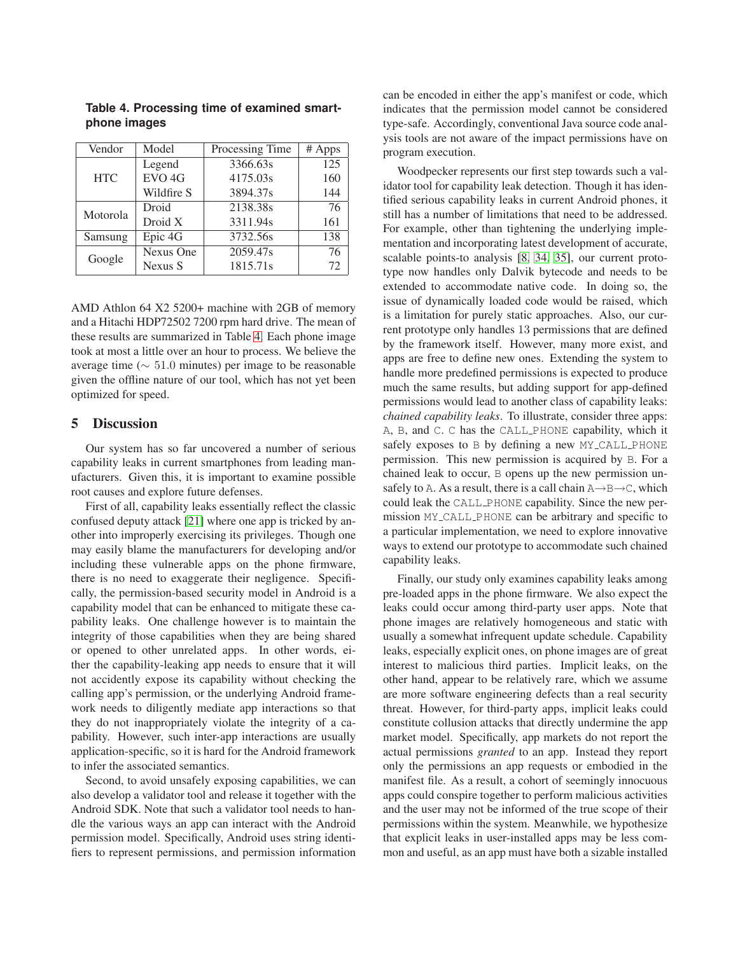| Vendor     | Model             | Processing Time | $#$ Apps |
|------------|-------------------|-----------------|----------|
|            | Legend            | 3366.63s        | 125      |
| <b>HTC</b> | EVO <sub>4G</sub> | 4175.03s        | 160      |
|            | Wildfire S        | 3894.37s        | 144      |
| Motorola   | Droid             | 2138.38s        | 76       |
|            | Droid X           | 3311.94s        | 161      |
| Samsung    | Epic 4G           | 3732.56s        | 138      |
| Google     | Nexus One         | 2059.47s        | 76       |
|            | Nexus S           | 1815.71s        | 72       |

<span id="page-11-1"></span>**Table 4. Processing time of examined smartphone images**

AMD Athlon 64 X2 5200+ machine with 2GB of memory and a Hitachi HDP72502 7200 rpm hard drive. The mean of these results are summarized in Table [4.](#page-11-1) Each phone image took at most a little over an hour to process. We believe the average time ( $\sim 51.0$  minutes) per image to be reasonable given the offline nature of our tool, which has not yet been optimized for speed.

# <span id="page-11-0"></span>**5 Discussion**

Our system has so far uncovered a number of serious capability leaks in current smartphones from leading manufacturers. Given this, it is important to examine possible root causes and explore future defenses.

First of all, capability leaks essentially reflect the classic confused deputy attack [\[21\]](#page-14-7) where one app is tricked by another into improperly exercising its privileges. Though one may easily blame the manufacturers for developing and/or including these vulnerable apps on the phone firmware, there is no need to exaggerate their negligence. Specifically, the permission-based security model in Android is a capability model that can be enhanced to mitigate these capability leaks. One challenge however is to maintain the integrity of those capabilities when they are being shared or opened to other unrelated apps. In other words, either the capability-leaking app needs to ensure that it will not accidently expose its capability without checking the calling app's permission, or the underlying Android framework needs to diligently mediate app interactions so that they do not inappropriately violate the integrity of a capability. However, such inter-app interactions are usually application-specific, so it is hard for the Android framework to infer the associated semantics.

Second, to avoid unsafely exposing capabilities, we can also develop a validator tool and release it together with the Android SDK. Note that such a validator tool needs to handle the various ways an app can interact with the Android permission model. Specifically, Android uses string identifiers to represent permissions, and permission information can be encoded in either the app's manifest or code, which indicates that the permission model cannot be considered type-safe. Accordingly, conventional Java source code analysis tools are not aware of the impact permissions have on program execution.

Woodpecker represents our first step towards such a validator tool for capability leak detection. Though it has identified serious capability leaks in current Android phones, it still has a number of limitations that need to be addressed. For example, other than tightening the underlying implementation and incorporating latest development of accurate, scalable points-to analysis [\[8,](#page-13-9) [34,](#page-14-8) [35\]](#page-14-9), our current prototype now handles only Dalvik bytecode and needs to be extended to accommodate native code. In doing so, the issue of dynamically loaded code would be raised, which is a limitation for purely static approaches. Also, our current prototype only handles 13 permissions that are defined by the framework itself. However, many more exist, and apps are free to define new ones. Extending the system to handle more predefined permissions is expected to produce much the same results, but adding support for app-defined permissions would lead to another class of capability leaks: *chained capability leaks*. To illustrate, consider three apps: A, B, and C. C has the CALL PHONE capability, which it safely exposes to B by defining a new MY CALL PHONE permission. This new permission is acquired by B. For a chained leak to occur, B opens up the new permission unsafely to A. As a result, there is a call chain  $A \rightarrow B \rightarrow C$ , which could leak the CALL PHONE capability. Since the new permission MY CALL PHONE can be arbitrary and specific to a particular implementation, we need to explore innovative ways to extend our prototype to accommodate such chained capability leaks.

Finally, our study only examines capability leaks among pre-loaded apps in the phone firmware. We also expect the leaks could occur among third-party user apps. Note that phone images are relatively homogeneous and static with usually a somewhat infrequent update schedule. Capability leaks, especially explicit ones, on phone images are of great interest to malicious third parties. Implicit leaks, on the other hand, appear to be relatively rare, which we assume are more software engineering defects than a real security threat. However, for third-party apps, implicit leaks could constitute collusion attacks that directly undermine the app market model. Specifically, app markets do not report the actual permissions *granted* to an app. Instead they report only the permissions an app requests or embodied in the manifest file. As a result, a cohort of seemingly innocuous apps could conspire together to perform malicious activities and the user may not be informed of the true scope of their permissions within the system. Meanwhile, we hypothesize that explicit leaks in user-installed apps may be less common and useful, as an app must have both a sizable installed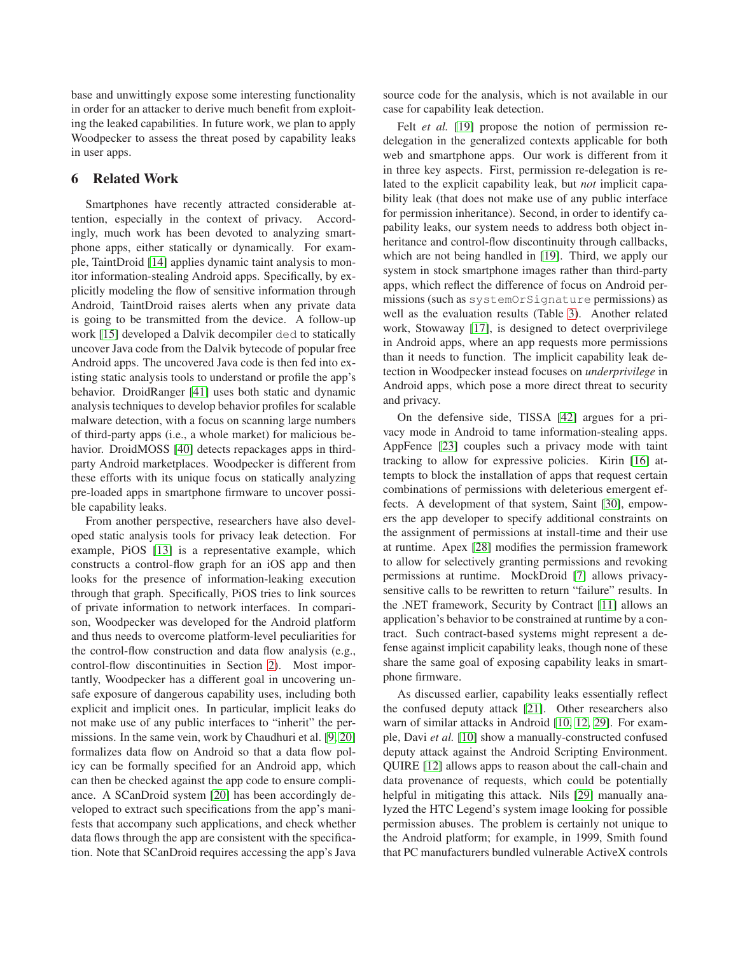base and unwittingly expose some interesting functionality in order for an attacker to derive much benefit from exploiting the leaked capabilities. In future work, we plan to apply Woodpecker to assess the threat posed by capability leaks in user apps.

# <span id="page-12-0"></span>**6 Related Work**

Smartphones have recently attracted considerable attention, especially in the context of privacy. Accordingly, much work has been devoted to analyzing smartphone apps, either statically or dynamically. For example, TaintDroid [\[14\]](#page-13-3) applies dynamic taint analysis to monitor information-stealing Android apps. Specifically, by explicitly modeling the flow of sensitive information through Android, TaintDroid raises alerts when any private data is going to be transmitted from the device. A follow-up work [\[15\]](#page-14-10) developed a Dalvik decompiler ded to statically uncover Java code from the Dalvik bytecode of popular free Android apps. The uncovered Java code is then fed into existing static analysis tools to understand or profile the app's behavior. DroidRanger [\[41\]](#page-14-11) uses both static and dynamic analysis techniques to develop behavior profiles for scalable malware detection, with a focus on scanning large numbers of third-party apps (i.e., a whole market) for malicious behavior. DroidMOSS [\[40\]](#page-14-12) detects repackages apps in thirdparty Android marketplaces. Woodpecker is different from these efforts with its unique focus on statically analyzing pre-loaded apps in smartphone firmware to uncover possible capability leaks.

From another perspective, researchers have also developed static analysis tools for privacy leak detection. For example, PiOS [\[13\]](#page-13-2) is a representative example, which constructs a control-flow graph for an iOS app and then looks for the presence of information-leaking execution through that graph. Specifically, PiOS tries to link sources of private information to network interfaces. In comparison, Woodpecker was developed for the Android platform and thus needs to overcome platform-level peculiarities for the control-flow construction and data flow analysis (e.g., control-flow discontinuities in Section [2\)](#page-1-1). Most importantly, Woodpecker has a different goal in uncovering unsafe exposure of dangerous capability uses, including both explicit and implicit ones. In particular, implicit leaks do not make use of any public interfaces to "inherit" the permissions. In the same vein, work by Chaudhuri et al. [\[9,](#page-13-10) [20\]](#page-14-13) formalizes data flow on Android so that a data flow policy can be formally specified for an Android app, which can then be checked against the app code to ensure compliance. A SCanDroid system [\[20\]](#page-14-13) has been accordingly developed to extract such specifications from the app's manifests that accompany such applications, and check whether data flows through the app are consistent with the specification. Note that SCanDroid requires accessing the app's Java

source code for the analysis, which is not available in our case for capability leak detection.

Felt *et al.* [\[19\]](#page-14-14) propose the notion of permission redelegation in the generalized contexts applicable for both web and smartphone apps. Our work is different from it in three key aspects. First, permission re-delegation is related to the explicit capability leak, but *not* implicit capability leak (that does not make use of any public interface for permission inheritance). Second, in order to identify capability leaks, our system needs to address both object inheritance and control-flow discontinuity through callbacks, which are not being handled in [\[19\]](#page-14-14). Third, we apply our system in stock smartphone images rather than third-party apps, which reflect the difference of focus on Android permissions (such as systemOrSignature permissions) as well as the evaluation results (Table [3\)](#page-8-1). Another related work, Stowaway [\[17\]](#page-14-5), is designed to detect overprivilege in Android apps, where an app requests more permissions than it needs to function. The implicit capability leak detection in Woodpecker instead focuses on *underprivilege* in Android apps, which pose a more direct threat to security and privacy.

On the defensive side, TISSA [\[42\]](#page-14-3) argues for a privacy mode in Android to tame information-stealing apps. AppFence [\[23\]](#page-14-15) couples such a privacy mode with taint tracking to allow for expressive policies. Kirin [\[16\]](#page-14-16) attempts to block the installation of apps that request certain combinations of permissions with deleterious emergent effects. A development of that system, Saint [\[30\]](#page-14-17), empowers the app developer to specify additional constraints on the assignment of permissions at install-time and their use at runtime. Apex [\[28\]](#page-14-18) modifies the permission framework to allow for selectively granting permissions and revoking permissions at runtime. MockDroid [\[7\]](#page-13-11) allows privacysensitive calls to be rewritten to return "failure" results. In the .NET framework, Security by Contract [\[11\]](#page-13-12) allows an application's behavior to be constrained at runtime by a contract. Such contract-based systems might represent a defense against implicit capability leaks, though none of these share the same goal of exposing capability leaks in smartphone firmware.

As discussed earlier, capability leaks essentially reflect the confused deputy attack [\[21\]](#page-14-7). Other researchers also warn of similar attacks in Android [\[10,](#page-13-13) [12,](#page-13-14) [29\]](#page-14-19). For example, Davi *et al.* [\[10\]](#page-13-13) show a manually-constructed confused deputy attack against the Android Scripting Environment. QUIRE [\[12\]](#page-13-14) allows apps to reason about the call-chain and data provenance of requests, which could be potentially helpful in mitigating this attack. Nils [\[29\]](#page-14-19) manually analyzed the HTC Legend's system image looking for possible permission abuses. The problem is certainly not unique to the Android platform; for example, in 1999, Smith found that PC manufacturers bundled vulnerable ActiveX controls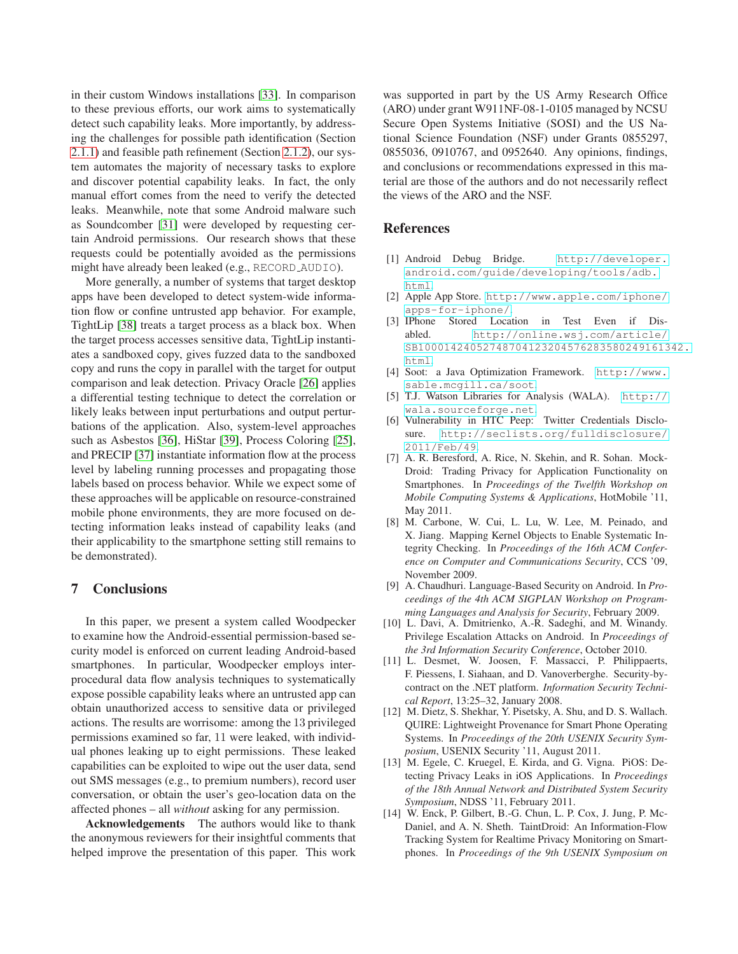in their custom Windows installations [\[33\]](#page-14-20). In comparison to these previous efforts, our work aims to systematically detect such capability leaks. More importantly, by addressing the challenges for possible path identification (Section [2.1.1\)](#page-2-1) and feasible path refinement (Section [2.1.2\)](#page-3-2), our system automates the majority of necessary tasks to explore and discover potential capability leaks. In fact, the only manual effort comes from the need to verify the detected leaks. Meanwhile, note that some Android malware such as Soundcomber [\[31\]](#page-14-21) were developed by requesting certain Android permissions. Our research shows that these requests could be potentially avoided as the permissions might have already been leaked (e.g., RECORD AUDIO).

More generally, a number of systems that target desktop apps have been developed to detect system-wide information flow or confine untrusted app behavior. For example, TightLip [\[38\]](#page-14-22) treats a target process as a black box. When the target process accesses sensitive data, TightLip instantiates a sandboxed copy, gives fuzzed data to the sandboxed copy and runs the copy in parallel with the target for output comparison and leak detection. Privacy Oracle [\[26\]](#page-14-23) applies a differential testing technique to detect the correlation or likely leaks between input perturbations and output perturbations of the application. Also, system-level approaches such as Asbestos [\[36\]](#page-14-24), HiStar [\[39\]](#page-14-25), Process Coloring [\[25\]](#page-14-26), and PRECIP [\[37\]](#page-14-27) instantiate information flow at the process level by labeling running processes and propagating those labels based on process behavior. While we expect some of these approaches will be applicable on resource-constrained mobile phone environments, they are more focused on detecting information leaks instead of capability leaks (and their applicability to the smartphone setting still remains to be demonstrated).

# <span id="page-13-5"></span>**7 Conclusions**

In this paper, we present a system called Woodpecker to examine how the Android-essential permission-based security model is enforced on current leading Android-based smartphones. In particular, Woodpecker employs interprocedural data flow analysis techniques to systematically expose possible capability leaks where an untrusted app can obtain unauthorized access to sensitive data or privileged actions. The results are worrisome: among the 13 privileged permissions examined so far, 11 were leaked, with individual phones leaking up to eight permissions. These leaked capabilities can be exploited to wipe out the user data, send out SMS messages (e.g., to premium numbers), record user conversation, or obtain the user's geo-location data on the affected phones – all *without* asking for any permission.

**Acknowledgements** The authors would like to thank the anonymous reviewers for their insightful comments that helped improve the presentation of this paper. This work

was supported in part by the US Army Research Office (ARO) under grant W911NF-08-1-0105 managed by NCSU Secure Open Systems Initiative (SOSI) and the US National Science Foundation (NSF) under Grants 0855297, 0855036, 0910767, and 0952640. Any opinions, findings, and conclusions or recommendations expressed in this material are those of the authors and do not necessarily reflect the views of the ARO and the NSF.

### <span id="page-13-8"></span>**References**

- [1] Android Debug Bridge. [http://developer.](http://developer.android.com/guide/developing/tools/adb.html) [android.com/guide/developing/tools/adb.](http://developer.android.com/guide/developing/tools/adb.html) [html](http://developer.android.com/guide/developing/tools/adb.html).
- <span id="page-13-1"></span><span id="page-13-0"></span>[2] Apple App Store. [http://www.apple.com/iphone/](http://www.apple.com/iphone/apps-for-iphone/) [apps-for-iphone/](http://www.apple.com/iphone/apps-for-iphone/).
- [3] IPhone Stored Location in Test Even if Disabled. [http://online.wsj.com/article/](http://online.wsj.com/article/SB10001424052748704123204576283580249161342.html) [SB10001424052748704123204576283580249161342.](http://online.wsj.com/article/SB10001424052748704123204576283580249161342.html) [html](http://online.wsj.com/article/SB10001424052748704123204576283580249161342.html).
- <span id="page-13-7"></span><span id="page-13-6"></span>[4] Soot: a Java Optimization Framework. [http://www.](http://www.sable.mcgill.ca/soot) [sable.mcgill.ca/soot](http://www.sable.mcgill.ca/soot).
- <span id="page-13-4"></span>[5] T.J. Watson Libraries for Analysis (WALA). [http://](http://wala.sourceforge.net) [wala.sourceforge.net](http://wala.sourceforge.net).
- [6] Vulnerability in HTC Peep: Twitter Credentials Disclosure. [http://seclists.org/fulldisclosure/](http://seclists.org/fulldisclosure/2011/Feb/49) [2011/Feb/49](http://seclists.org/fulldisclosure/2011/Feb/49).
- <span id="page-13-11"></span>[7] A. R. Beresford, A. Rice, N. Skehin, and R. Sohan. Mock-Droid: Trading Privacy for Application Functionality on Smartphones. In *Proceedings of the Twelfth Workshop on Mobile Computing Systems & Applications*, HotMobile '11, May 2011.
- <span id="page-13-9"></span>[8] M. Carbone, W. Cui, L. Lu, W. Lee, M. Peinado, and X. Jiang. Mapping Kernel Objects to Enable Systematic Integrity Checking. In *Proceedings of the 16th ACM Conference on Computer and Communications Security*, CCS '09, November 2009.
- <span id="page-13-10"></span>[9] A. Chaudhuri. Language-Based Security on Android. In *Proceedings of the 4th ACM SIGPLAN Workshop on Programming Languages and Analysis for Security*, February 2009.
- <span id="page-13-13"></span>[10] L. Davi, A. Dmitrienko, A.-R. Sadeghi, and M. Winandy. Privilege Escalation Attacks on Android. In *Proceedings of the 3rd Information Security Conference*, October 2010.
- <span id="page-13-12"></span>[11] L. Desmet, W. Joosen, F. Massacci, P. Philippaerts, F. Piessens, I. Siahaan, and D. Vanoverberghe. Security-bycontract on the .NET platform. *Information Security Technical Report*, 13:25–32, January 2008.
- <span id="page-13-14"></span>[12] M. Dietz, S. Shekhar, Y. Pisetsky, A. Shu, and D. S. Wallach. QUIRE: Lightweight Provenance for Smart Phone Operating Systems. In *Proceedings of the 20th USENIX Security Symposium*, USENIX Security '11, August 2011.
- <span id="page-13-2"></span>[13] M. Egele, C. Kruegel, E. Kirda, and G. Vigna. PiOS: Detecting Privacy Leaks in iOS Applications. In *Proceedings of the 18th Annual Network and Distributed System Security Symposium*, NDSS '11, February 2011.
- <span id="page-13-3"></span>[14] W. Enck, P. Gilbert, B.-G. Chun, L. P. Cox, J. Jung, P. Mc-Daniel, and A. N. Sheth. TaintDroid: An Information-Flow Tracking System for Realtime Privacy Monitoring on Smartphones. In *Proceedings of the 9th USENIX Symposium on*